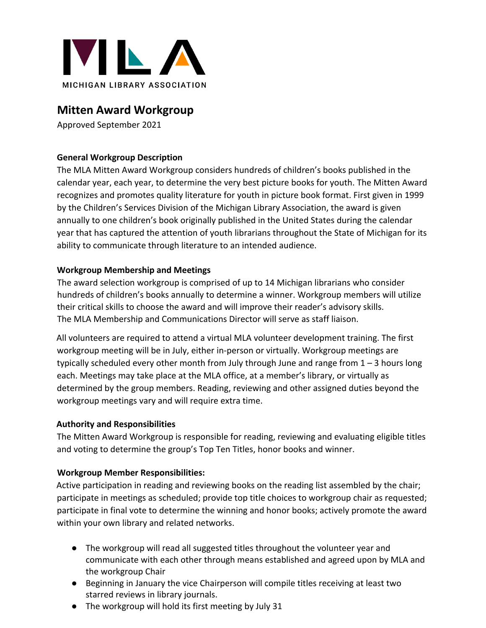

## **Mitten Award Workgroup**

Approved September 2021

### **General Workgroup Description**

The MLA Mitten Award Workgroup considers hundreds of children's books published in the calendar year, each year, to determine the very best picture books for youth. The Mitten Award recognizes and promotes quality literature for youth in picture book format. First given in 1999 by the Children's Services Division of the Michigan Library Association, the award is given annually to one children's book originally published in the United States during the calendar year that has captured the attention of youth librarians throughout the State of Michigan for its ability to communicate through literature to an intended audience.

### **Workgroup Membership and Meetings**

The award selection workgroup is comprised of up to 14 Michigan librarians who consider hundreds of children's books annually to determine a winner. Workgroup members will utilize their critical skills to choose the award and will improve their reader's advisory skills. The MLA Membership and Communications Director will serve as staff liaison.

All volunteers are required to attend a virtual MLA volunteer development training. The first workgroup meeting will be in July, either in-person or virtually. Workgroup meetings are typically scheduled every other month from July through June and range from  $1 - 3$  hours long each. Meetings may take place at the MLA office, at a member's library, or virtually as determined by the group members. Reading, reviewing and other assigned duties beyond the workgroup meetings vary and will require extra time.

#### **Authority and Responsibilities**

The Mitten Award Workgroup is responsible for reading, reviewing and evaluating eligible titles and voting to determine the group's Top Ten Titles, honor books and winner.

#### **Workgroup Member Responsibilities:**

Active participation in reading and reviewing books on the reading list assembled by the chair; participate in meetings as scheduled; provide top title choices to workgroup chair as requested; participate in final vote to determine the winning and honor books; actively promote the award within your own library and related networks.

- The workgroup will read all suggested titles throughout the volunteer year and communicate with each other through means established and agreed upon by MLA and the workgroup Chair
- Beginning in January the vice Chairperson will compile titles receiving at least two starred reviews in library journals.
- The workgroup will hold its first meeting by July 31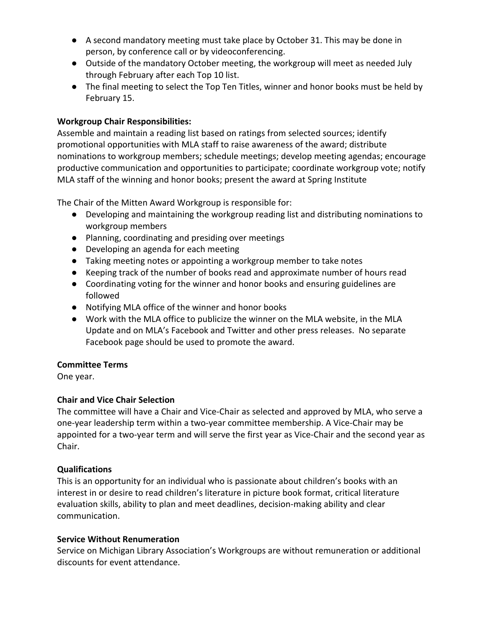- A second mandatory meeting must take place by October 31. This may be done in person, by conference call or by videoconferencing.
- Outside of the mandatory October meeting, the workgroup will meet as needed July through February after each Top 10 list.
- The final meeting to select the Top Ten Titles, winner and honor books must be held by February 15.

#### **Workgroup Chair Responsibilities:**

Assemble and maintain a reading list based on ratings from selected sources; identify promotional opportunities with MLA staff to raise awareness of the award; distribute nominations to workgroup members; schedule meetings; develop meeting agendas; encourage productive communication and opportunities to participate; coordinate workgroup vote; notify MLA staff of the winning and honor books; present the award at Spring Institute

The Chair of the Mitten Award Workgroup is responsible for:

- Developing and maintaining the workgroup reading list and distributing nominations to workgroup members
- Planning, coordinating and presiding over meetings
- Developing an agenda for each meeting
- Taking meeting notes or appointing a workgroup member to take notes
- Keeping track of the number of books read and approximate number of hours read
- Coordinating voting for the winner and honor books and ensuring guidelines are followed
- Notifying MLA office of the winner and honor books
- Work with the MLA office to publicize the winner on the MLA website, in the MLA Update and on MLA's Facebook and Twitter and other press releases. No separate Facebook page should be used to promote the award.

#### **Committee Terms**

One year.

#### **Chair and Vice Chair Selection**

The committee will have a Chair and Vice-Chair as selected and approved by MLA, who serve a one-year leadership term within a two-year committee membership. A Vice-Chair may be appointed for a two-year term and will serve the first year as Vice-Chair and the second year as Chair.

#### **Qualifications**

This is an opportunity for an individual who is passionate about children's books with an interest in or desire to read children's literature in picture book format, critical literature evaluation skills, ability to plan and meet deadlines, decision-making ability and clear communication.

#### **Service Without Renumeration**

Service on Michigan Library Association's Workgroups are without remuneration or additional discounts for event attendance.